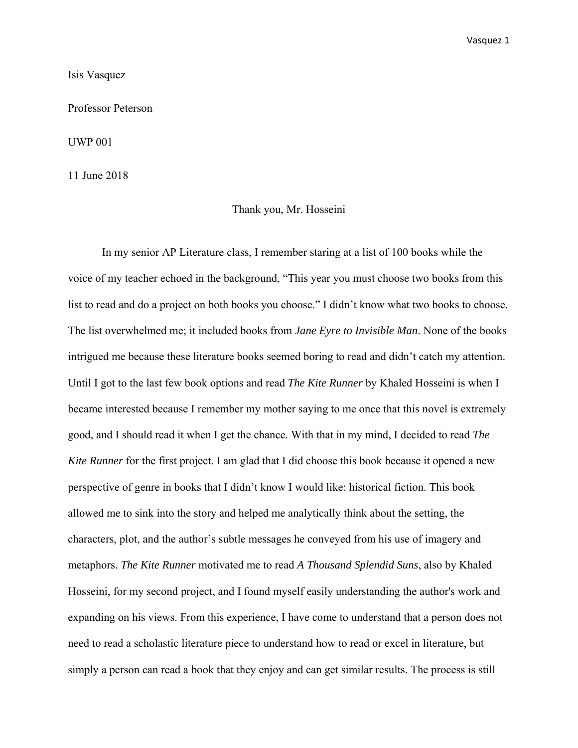Isis Vasquez

Professor Peterson

UWP 001

11 June 2018

## Thank you, Mr. Hosseini

In my senior AP Literature class, I remember staring at a list of 100 books while the voice of my teacher echoed in the background, "This year you must choose two books from this list to read and do a project on both books you choose." I didn't know what two books to choose. The list overwhelmed me; it included books from *Jane Eyre to Invisible Man*. None of the books intrigued me because these literature books seemed boring to read and didn't catch my attention. Until I got to the last few book options and read *The Kite Runner* by Khaled Hosseini is when I became interested because I remember my mother saying to me once that this novel is extremely good, and I should read it when I get the chance. With that in my mind, I decided to read *The Kite Runner* for the first project. I am glad that I did choose this book because it opened a new perspective of genre in books that I didn't know I would like: historical fiction. This book allowed me to sink into the story and helped me analytically think about the setting, the characters, plot, and the author's subtle messages he conveyed from his use of imagery and metaphors. *The Kite Runner* motivated me to read *A Thousand Splendid Suns*, also by Khaled Hosseini, for my second project, and I found myself easily understanding the author's work and expanding on his views. From this experience, I have come to understand that a person does not need to read a scholastic literature piece to understand how to read or excel in literature, but simply a person can read a book that they enjoy and can get similar results. The process is still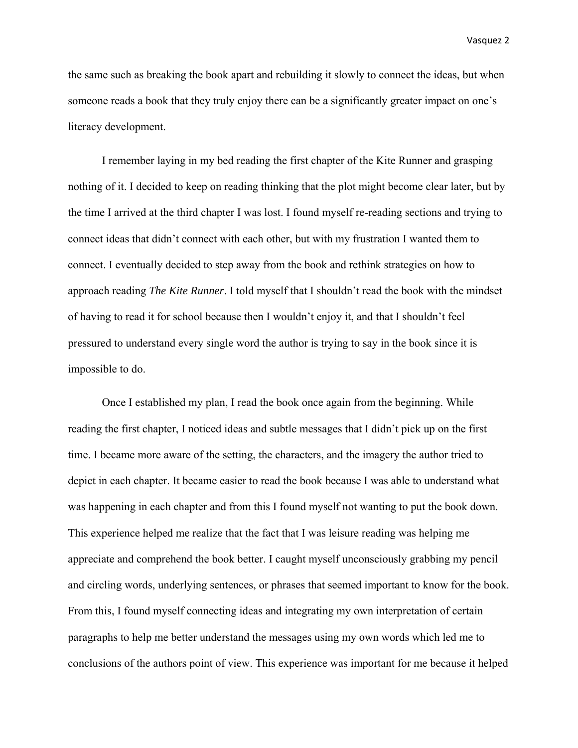the same such as breaking the book apart and rebuilding it slowly to connect the ideas, but when someone reads a book that they truly enjoy there can be a significantly greater impact on one's literacy development.

I remember laying in my bed reading the first chapter of the Kite Runner and grasping nothing of it. I decided to keep on reading thinking that the plot might become clear later, but by the time I arrived at the third chapter I was lost. I found myself re-reading sections and trying to connect ideas that didn't connect with each other, but with my frustration I wanted them to connect. I eventually decided to step away from the book and rethink strategies on how to approach reading *The Kite Runner*. I told myself that I shouldn't read the book with the mindset of having to read it for school because then I wouldn't enjoy it, and that I shouldn't feel pressured to understand every single word the author is trying to say in the book since it is impossible to do.

Once I established my plan, I read the book once again from the beginning. While reading the first chapter, I noticed ideas and subtle messages that I didn't pick up on the first time. I became more aware of the setting, the characters, and the imagery the author tried to depict in each chapter. It became easier to read the book because I was able to understand what was happening in each chapter and from this I found myself not wanting to put the book down. This experience helped me realize that the fact that I was leisure reading was helping me appreciate and comprehend the book better. I caught myself unconsciously grabbing my pencil and circling words, underlying sentences, or phrases that seemed important to know for the book. From this, I found myself connecting ideas and integrating my own interpretation of certain paragraphs to help me better understand the messages using my own words which led me to conclusions of the authors point of view. This experience was important for me because it helped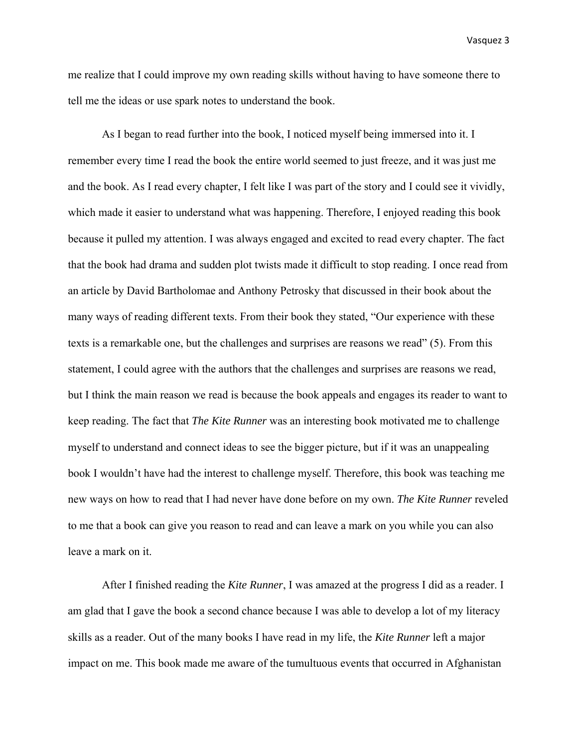me realize that I could improve my own reading skills without having to have someone there to tell me the ideas or use spark notes to understand the book.

As I began to read further into the book, I noticed myself being immersed into it. I remember every time I read the book the entire world seemed to just freeze, and it was just me and the book. As I read every chapter, I felt like I was part of the story and I could see it vividly, which made it easier to understand what was happening. Therefore, I enjoyed reading this book because it pulled my attention. I was always engaged and excited to read every chapter. The fact that the book had drama and sudden plot twists made it difficult to stop reading. I once read from an article by David Bartholomae and Anthony Petrosky that discussed in their book about the many ways of reading different texts. From their book they stated, "Our experience with these texts is a remarkable one, but the challenges and surprises are reasons we read" (5). From this statement, I could agree with the authors that the challenges and surprises are reasons we read, but I think the main reason we read is because the book appeals and engages its reader to want to keep reading. The fact that *The Kite Runner* was an interesting book motivated me to challenge myself to understand and connect ideas to see the bigger picture, but if it was an unappealing book I wouldn't have had the interest to challenge myself. Therefore, this book was teaching me new ways on how to read that I had never have done before on my own. *The Kite Runner* reveled to me that a book can give you reason to read and can leave a mark on you while you can also leave a mark on it.

After I finished reading the *Kite Runner*, I was amazed at the progress I did as a reader. I am glad that I gave the book a second chance because I was able to develop a lot of my literacy skills as a reader. Out of the many books I have read in my life, the *Kite Runner* left a major impact on me. This book made me aware of the tumultuous events that occurred in Afghanistan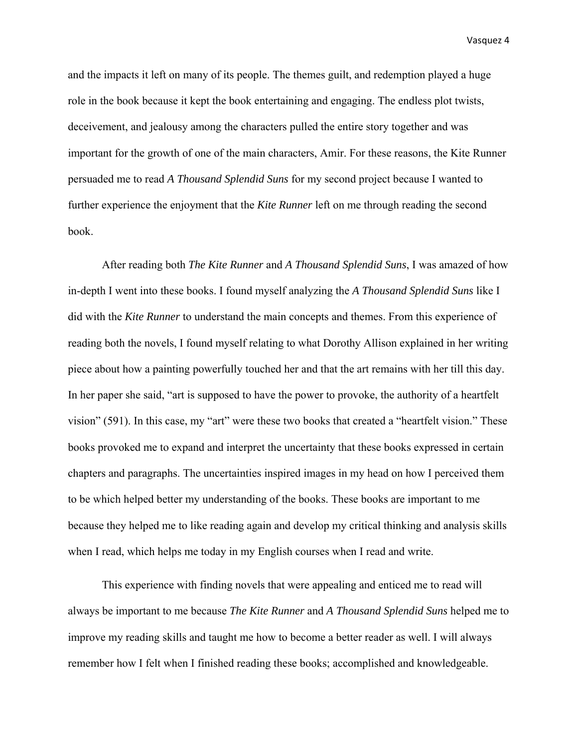and the impacts it left on many of its people. The themes guilt, and redemption played a huge role in the book because it kept the book entertaining and engaging. The endless plot twists, deceivement, and jealousy among the characters pulled the entire story together and was important for the growth of one of the main characters, Amir. For these reasons, the Kite Runner persuaded me to read *A Thousand Splendid Suns* for my second project because I wanted to further experience the enjoyment that the *Kite Runner* left on me through reading the second book.

After reading both *The Kite Runner* and *A Thousand Splendid Suns*, I was amazed of how in-depth I went into these books. I found myself analyzing the *A Thousand Splendid Suns* like I did with the *Kite Runner* to understand the main concepts and themes. From this experience of reading both the novels, I found myself relating to what Dorothy Allison explained in her writing piece about how a painting powerfully touched her and that the art remains with her till this day. In her paper she said, "art is supposed to have the power to provoke, the authority of a heartfelt vision" (591). In this case, my "art" were these two books that created a "heartfelt vision." These books provoked me to expand and interpret the uncertainty that these books expressed in certain chapters and paragraphs. The uncertainties inspired images in my head on how I perceived them to be which helped better my understanding of the books. These books are important to me because they helped me to like reading again and develop my critical thinking and analysis skills when I read, which helps me today in my English courses when I read and write.

This experience with finding novels that were appealing and enticed me to read will always be important to me because *The Kite Runner* and *A Thousand Splendid Suns* helped me to improve my reading skills and taught me how to become a better reader as well. I will always remember how I felt when I finished reading these books; accomplished and knowledgeable.